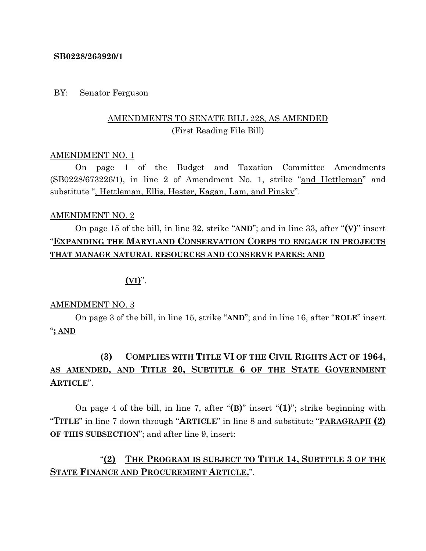### **SB0228/263920/1**

### BY: Senator Ferguson

# AMENDMENTS TO SENATE BILL 228, AS AMENDED (First Reading File Bill)

#### AMENDMENT NO. 1

On page 1 of the Budget and Taxation Committee Amendments (SB0228/673226/1), in line 2 of Amendment No. 1, strike "and Hettleman" and substitute ", Hettleman, Ellis, Hester, Kagan, Lam, and Pinsky".

### AMENDMENT NO. 2

On page 15 of the bill, in line 32, strike "**AND**"; and in line 33, after "**(V)**" insert "**EXPANDING THE MARYLAND CONSERVATION CORPS TO ENGAGE IN PROJECTS THAT MANAGE NATURAL RESOURCES AND CONSERVE PARKS; AND**

### **(VI)**".

#### AMENDMENT NO. 3

On page 3 of the bill, in line 15, strike "**AND**"; and in line 16, after "**ROLE**" insert "**; AND**

# **(3) COMPLIES WITH TITLE VI OF THE CIVIL RIGHTS ACT OF 1964, AS AMENDED, AND TITLE 20, SUBTITLE 6 OF THE STATE GOVERNMENT ARTICLE**".

On page 4 of the bill, in line 7, after "**(B)**" insert "**(1)**"; strike beginning with "**TITLE**" in line 7 down through "**ARTICLE**" in line 8 and substitute "**PARAGRAPH (2) OF THIS SUBSECTION**"; and after line 9, insert:

# "**(2) THE PROGRAM IS SUBJECT TO TITLE 14, SUBTITLE 3 OF THE STATE FINANCE AND PROCUREMENT ARTICLE.**".